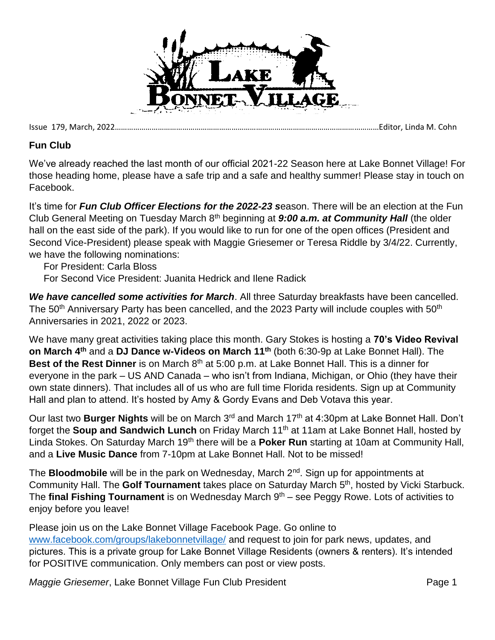

Issue 179, March, 2022…………………………………………………………………………………………………………………Editor, Linda M. Cohn

## **Fun Club**

We've already reached the last month of our official 2021-22 Season here at Lake Bonnet Village! For those heading home, please have a safe trip and a safe and healthy summer! Please stay in touch on Facebook.

It's time for *Fun Club Officer Elections for the 2022-23 s*eason. There will be an election at the Fun Club General Meeting on Tuesday March 8th beginning at *9:00 a.m. at Community Hall* (the older hall on the east side of the park). If you would like to run for one of the open offices (President and Second Vice-President) please speak with Maggie Griesemer or Teresa Riddle by 3/4/22. Currently, we have the following nominations:

For President: Carla Bloss

For Second Vice President: Juanita Hedrick and Ilene Radick

*We have cancelled some activities for March*. All three Saturday breakfasts have been cancelled. The 50<sup>th</sup> Anniversary Party has been cancelled, and the 2023 Party will include couples with 50<sup>th</sup> Anniversaries in 2021, 2022 or 2023.

We have many great activities taking place this month. Gary Stokes is hosting a **70's Video Revival on March 4th** and a **DJ Dance w-Videos on March 11th** (both 6:30-9p at Lake Bonnet Hall). The **Best of the Rest Dinner** is on March 8<sup>th</sup> at 5:00 p.m. at Lake Bonnet Hall. This is a dinner for everyone in the park – US AND Canada – who isn't from Indiana, Michigan, or Ohio (they have their own state dinners). That includes all of us who are full time Florida residents. Sign up at Community Hall and plan to attend. It's hosted by Amy & Gordy Evans and Deb Votava this year.

Our last two Burger Nights will be on March 3<sup>rd</sup> and March 17<sup>th</sup> at 4:30pm at Lake Bonnet Hall. Don't forget the **Soup and Sandwich Lunch** on Friday March 11<sup>th</sup> at 11am at Lake Bonnet Hall, hosted by Linda Stokes. On Saturday March 19th there will be a **Poker Run** starting at 10am at Community Hall, and a **Live Music Dance** from 7-10pm at Lake Bonnet Hall. Not to be missed!

The **Bloodmobile** will be in the park on Wednesday, March 2nd . Sign up for appointments at Community Hall. The Golf Tournament takes place on Saturday March 5<sup>th</sup>, hosted by Vicki Starbuck. The **final Fishing Tournament** is on Wednesday March 9<sup>th</sup> – see Peggy Rowe. Lots of activities to enjoy before you leave!

Please join us on the Lake Bonnet Village Facebook Page. Go online to [www.facebook.com/groups/lakebonnetvillage/](http://www.facebook.com/groups/lakebonnetvillage/) and request to join for park news, updates, and pictures. This is a private group for Lake Bonnet Village Residents (owners & renters). It's intended for POSITIVE communication. Only members can post or view posts.

*Maggie Griesemer*, Lake Bonnet Village Fun Club President **Page 1** Page 1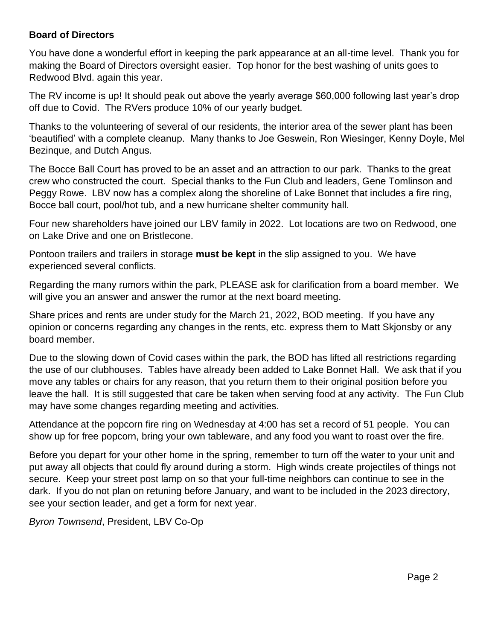## **Board of Directors**

You have done a wonderful effort in keeping the park appearance at an all-time level. Thank you for making the Board of Directors oversight easier. Top honor for the best washing of units goes to Redwood Blvd. again this year.

The RV income is up! It should peak out above the yearly average \$60,000 following last year's drop off due to Covid. The RVers produce 10% of our yearly budget.

Thanks to the volunteering of several of our residents, the interior area of the sewer plant has been 'beautified' with a complete cleanup. Many thanks to Joe Geswein, Ron Wiesinger, Kenny Doyle, Mel Bezinque, and Dutch Angus.

The Bocce Ball Court has proved to be an asset and an attraction to our park. Thanks to the great crew who constructed the court. Special thanks to the Fun Club and leaders, Gene Tomlinson and Peggy Rowe. LBV now has a complex along the shoreline of Lake Bonnet that includes a fire ring, Bocce ball court, pool/hot tub, and a new hurricane shelter community hall.

Four new shareholders have joined our LBV family in 2022. Lot locations are two on Redwood, one on Lake Drive and one on Bristlecone.

Pontoon trailers and trailers in storage **must be kept** in the slip assigned to you. We have experienced several conflicts.

Regarding the many rumors within the park, PLEASE ask for clarification from a board member. We will give you an answer and answer the rumor at the next board meeting.

Share prices and rents are under study for the March 21, 2022, BOD meeting. If you have any opinion or concerns regarding any changes in the rents, etc. express them to Matt Skjonsby or any board member.

Due to the slowing down of Covid cases within the park, the BOD has lifted all restrictions regarding the use of our clubhouses. Tables have already been added to Lake Bonnet Hall. We ask that if you move any tables or chairs for any reason, that you return them to their original position before you leave the hall. It is still suggested that care be taken when serving food at any activity. The Fun Club may have some changes regarding meeting and activities.

Attendance at the popcorn fire ring on Wednesday at 4:00 has set a record of 51 people. You can show up for free popcorn, bring your own tableware, and any food you want to roast over the fire.

Before you depart for your other home in the spring, remember to turn off the water to your unit and put away all objects that could fly around during a storm. High winds create projectiles of things not secure. Keep your street post lamp on so that your full-time neighbors can continue to see in the dark. If you do not plan on retuning before January, and want to be included in the 2023 directory, see your section leader, and get a form for next year.

*Byron Townsend*, President, LBV Co-Op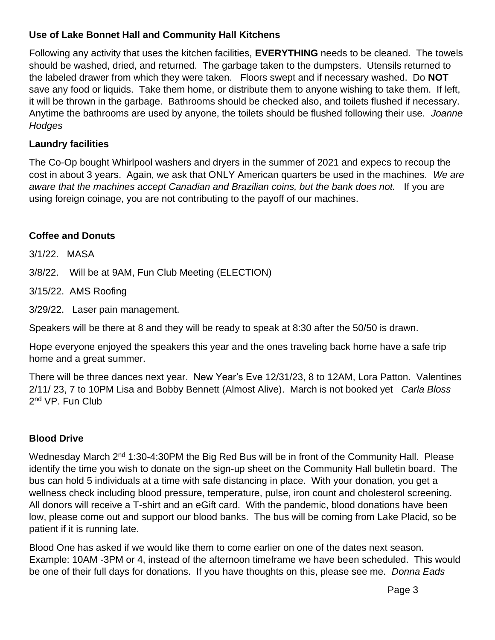# **Use of Lake Bonnet Hall and Community Hall Kitchens**

Following any activity that uses the kitchen facilities, **EVERYTHING** needs to be cleaned. The towels should be washed, dried, and returned. The garbage taken to the dumpsters. Utensils returned to the labeled drawer from which they were taken. Floors swept and if necessary washed. Do **NOT** save any food or liquids. Take them home, or distribute them to anyone wishing to take them. If left, it will be thrown in the garbage. Bathrooms should be checked also, and toilets flushed if necessary. Anytime the bathrooms are used by anyone, the toilets should be flushed following their use. *Joanne Hodges*

# **Laundry facilities**

The Co-Op bought Whirlpool washers and dryers in the summer of 2021 and expecs to recoup the cost in about 3 years. Again, we ask that ONLY American quarters be used in the machines. *We are aware that the machines accept Canadian and Brazilian coins, but the bank does not.* If you are using foreign coinage, you are not contributing to the payoff of our machines.

# **Coffee and Donuts**

3/1/22. MASA

3/8/22. Will be at 9AM, Fun Club Meeting (ELECTION)

3/15/22. AMS Roofing

3/29/22. Laser pain management.

Speakers will be there at 8 and they will be ready to speak at 8:30 after the 50/50 is drawn.

Hope everyone enjoyed the speakers this year and the ones traveling back home have a safe trip home and a great summer.

There will be three dances next year. New Year's Eve 12/31/23, 8 to 12AM, Lora Patton. Valentines 2/11/ 23, 7 to 10PM Lisa and Bobby Bennett (Almost Alive). March is not booked yet *Carla Bloss* 2<sup>nd</sup> VP. Fun Club

# **Blood Drive**

Wednesday March 2<sup>nd</sup> 1:30-4:30PM the Big Red Bus will be in front of the Community Hall. Please identify the time you wish to donate on the sign-up sheet on the Community Hall bulletin board. The bus can hold 5 individuals at a time with safe distancing in place. With your donation, you get a wellness check including blood pressure, temperature, pulse, iron count and cholesterol screening. All donors will receive a T-shirt and an eGift card. With the pandemic, blood donations have been low, please come out and support our blood banks. The bus will be coming from Lake Placid, so be patient if it is running late.

Blood One has asked if we would like them to come earlier on one of the dates next season. Example: 10AM -3PM or 4, instead of the afternoon timeframe we have been scheduled. This would be one of their full days for donations. If you have thoughts on this, please see me. *Donna Eads*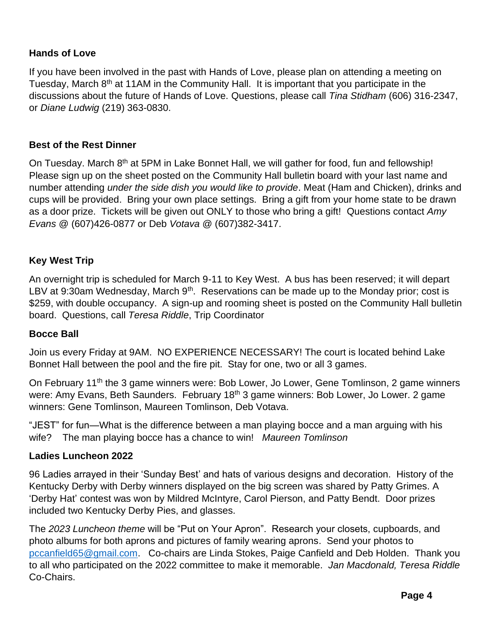# **Hands of Love**

If you have been involved in the past with Hands of Love, please plan on attending a meeting on Tuesday, March  $8<sup>th</sup>$  at 11AM in the Community Hall. It is important that you participate in the discussions about the future of Hands of Love. Questions, please call *Tina Stidham* (606) 316-2347, or *Diane Ludwig* (219) 363-0830.

### **Best of the Rest Dinner**

On Tuesday. March 8<sup>th</sup> at 5PM in Lake Bonnet Hall, we will gather for food, fun and fellowship! Please sign up on the sheet posted on the Community Hall bulletin board with your last name and number attending *under the side dish you would like to provide*. Meat (Ham and Chicken), drinks and cups will be provided. Bring your own place settings. Bring a gift from your home state to be drawn as a door prize. Tickets will be given out ONLY to those who bring a gift! Questions contact *Amy Evans* @ (607)426-0877 or Deb *Votava* @ (607)382-3417.

## **Key West Trip**

An overnight trip is scheduled for March 9-11 to Key West. A bus has been reserved; it will depart LBV at 9:30am Wednesday, March  $9<sup>th</sup>$ . Reservations can be made up to the Monday prior; cost is \$259, with double occupancy. A sign-up and rooming sheet is posted on the Community Hall bulletin board. Questions, call *Teresa Riddle*, Trip Coordinator

### **Bocce Ball**

Join us every Friday at 9AM. NO EXPERIENCE NECESSARY! The court is located behind Lake Bonnet Hall between the pool and the fire pit. Stay for one, two or all 3 games.

On February 11<sup>th</sup> the 3 game winners were: Bob Lower, Jo Lower, Gene Tomlinson, 2 game winners were: Amy Evans, Beth Saunders. February 18<sup>th</sup> 3 game winners: Bob Lower, Jo Lower. 2 game winners: Gene Tomlinson, Maureen Tomlinson, Deb Votava.

"JEST" for fun—What is the difference between a man playing bocce and a man arguing with his wife? The man playing bocce has a chance to win! *Maureen Tomlinson*

### **Ladies Luncheon 2022**

96 Ladies arrayed in their 'Sunday Best' and hats of various designs and decoration. History of the Kentucky Derby with Derby winners displayed on the big screen was shared by Patty Grimes. A 'Derby Hat' contest was won by Mildred McIntyre, Carol Pierson, and Patty Bendt. Door prizes included two Kentucky Derby Pies, and glasses.

The *2023 Luncheon theme* will be "Put on Your Apron". Research your closets, cupboards, and photo albums for both aprons and pictures of family wearing aprons. Send your photos to [pccanfield65@gmail.com.](mailto:pccanfield65@gmail.com) Co-chairs are Linda Stokes, Paige Canfield and Deb Holden. Thank you to all who participated on the 2022 committee to make it memorable. *Jan Macdonald, Teresa Riddle* Co-Chairs.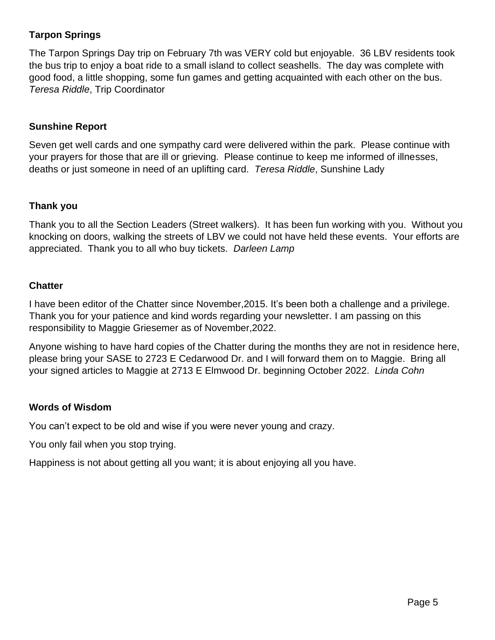# **Tarpon Springs**

The Tarpon Springs Day trip on February 7th was VERY cold but enjoyable. 36 LBV residents took the bus trip to enjoy a boat ride to a small island to collect seashells. The day was complete with good food, a little shopping, some fun games and getting acquainted with each other on the bus. *Teresa Riddle*, Trip Coordinator

## **Sunshine Report**

Seven get well cards and one sympathy card were delivered within the park. Please continue with your prayers for those that are ill or grieving. Please continue to keep me informed of illnesses, deaths or just someone in need of an uplifting card. *Teresa Riddle*, Sunshine Lady

## **Thank you**

Thank you to all the Section Leaders (Street walkers). It has been fun working with you. Without you knocking on doors, walking the streets of LBV we could not have held these events. Your efforts are appreciated. Thank you to all who buy tickets. *Darleen Lamp*

## **Chatter**

I have been editor of the Chatter since November,2015. It's been both a challenge and a privilege. Thank you for your patience and kind words regarding your newsletter. I am passing on this responsibility to Maggie Griesemer as of November,2022.

Anyone wishing to have hard copies of the Chatter during the months they are not in residence here, please bring your SASE to 2723 E Cedarwood Dr. and I will forward them on to Maggie. Bring all your signed articles to Maggie at 2713 E Elmwood Dr. beginning October 2022. *Linda Cohn*

### **Words of Wisdom**

You can't expect to be old and wise if you were never young and crazy.

You only fail when you stop trying.

Happiness is not about getting all you want; it is about enjoying all you have.